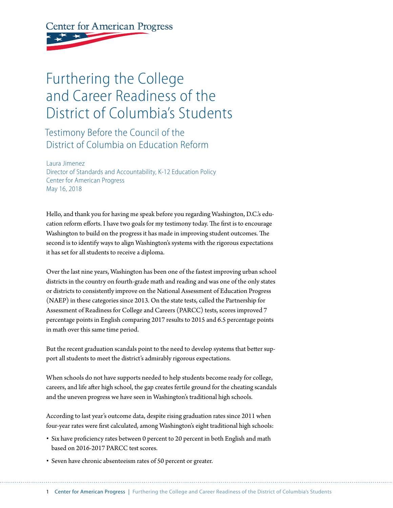**Center for American Progress** 

## Furthering the College and Career Readiness of the District of Columbia's Students

Testimony Before the Council of the District of Columbia on Education Reform

Laura Jimenez Director of Standards and Accountability, K-12 Education Policy Center for American Progress May 16, 2018

Hello, and thank you for having me speak before you regarding Washington, D.C.'s education reform efforts. I have two goals for my testimony today. The first is to encourage Washington to build on the progress it has made in improving student outcomes. The second is to identify ways to align Washington's systems with the rigorous expectations it has set for all students to receive a diploma.

Over the last nine years, Washington has been one of the fastest improving urban school districts in the country on fourth-grade math and reading and was one of the only states or districts to consistently improve on the National Assessment of Education Progress (NAEP) in these categories since 2013. On the state tests, called the Partnership for Assessment of Readiness for College and Careers (PARCC) tests, scores improved 7 percentage points in English comparing 2017 results to 2015 and 6.5 percentage points in math over this same time period.

But the recent graduation scandals point to the need to develop systems that better support all students to meet the district's admirably rigorous expectations.

When schools do not have supports needed to help students become ready for college, careers, and life after high school, the gap creates fertile ground for the cheating scandals and the uneven progress we have seen in Washington's traditional high schools.

According to last year's outcome data, despite rising graduation rates since 2011 when four-year rates were first calculated, among Washington's eight traditional high schools:

- Six have proficiency rates between 0 percent to 20 percent in both English and math based on 2016-2017 PARCC test scores.
- Seven have chronic absenteeism rates of 50 percent or greater.

1 Center for American Progress | Furthering the College and Career Readiness of the District of Columbia's Students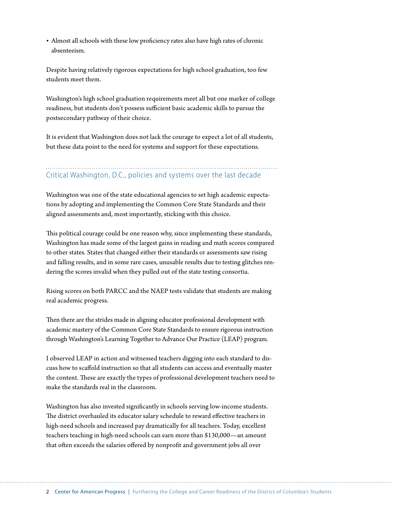• Almost all schools with these low proficiency rates also have high rates of chronic absenteeism.

Despite having relatively rigorous expectations for high school graduation, too few students meet them.

Washington's high school graduation requirements meet all but one marker of college readiness, but students don't possess sufficient basic academic skills to pursue the postsecondary pathway of their choice.

It is evident that Washington does not lack the courage to expect a lot of all students, but these data point to the need for systems and support for these expectations.

## Critical Washington, D.C., policies and systems over the last decade

Washington was one of the state educational agencies to set high academic expectations by adopting and implementing the Common Core State Standards and their aligned assessments and, most importantly, sticking with this choice.

This political courage could be one reason why, since implementing these standards, Washington has made some of the largest gains in reading and math scores compared to other states. States that changed either their standards or assessments saw rising and falling results, and in some rare cases, unusable results due to testing glitches rendering the scores invalid when they pulled out of the state testing consortia.

Rising scores on both PARCC and the NAEP tests validate that students are making real academic progress.

Then there are the strides made in aligning educator professional development with academic mastery of the Common Core State Standards to ensure rigorous instruction through Washington's Learning Together to Advance Our Practice (LEAP) program.

I observed LEAP in action and witnessed teachers digging into each standard to discuss how to scaffold instruction so that all students can access and eventually master the content. These are exactly the types of professional development teachers need to make the standards real in the classroom.

Washington has also invested significantly in schools serving low-income students. The district overhauled its educator salary schedule to reward effective teachers in high-need schools and increased pay dramatically for all teachers. Today, excellent teachers teaching in high-need schools can earn more than \$130,000—an amount that often exceeds the salaries offered by nonprofit and government jobs all over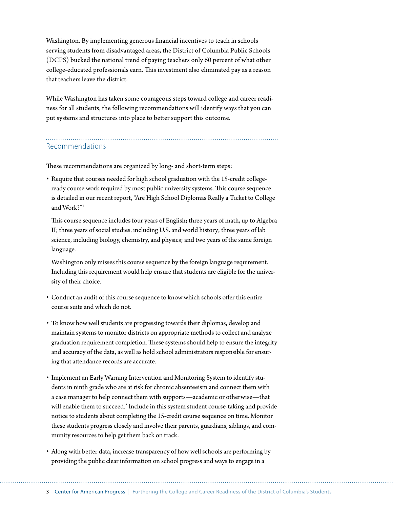Washington. By implementing generous financial incentives to teach in schools serving students from disadvantaged areas, the District of Columbia Public Schools (DCPS) bucked the national trend of paying teachers only 60 percent of what other college-educated professionals earn. This investment also eliminated pay as a reason that teachers leave the district.

While Washington has taken some courageous steps toward college and career readiness for all students, the following recommendations will identify ways that you can put systems and structures into place to better support this outcome.

## Recommendations

These recommendations are organized by long- and short-term steps:

• Require that courses needed for high school graduation with the 15-credit collegeready course work required by most public university systems. This course sequence is detailed in our recent report, "Are High School Diplomas Really a Ticket to College and Work?"1

This course sequence includes four years of English; three years of math, up to Algebra II; three years of social studies, including U.S. and world history; three years of lab science, including biology, chemistry, and physics; and two years of the same foreign language.

Washington only misses this course sequence by the foreign language requirement. Including this requirement would help ensure that students are eligible for the university of their choice.

- Conduct an audit of this course sequence to know which schools offer this entire course suite and which do not.
- To know how well students are progressing towards their diplomas, develop and maintain systems to monitor districts on appropriate methods to collect and analyze graduation requirement completion. These systems should help to ensure the integrity and accuracy of the data, as well as hold school administrators responsible for ensuring that attendance records are accurate.
- Implement an Early Warning Intervention and Monitoring System to identify students in ninth grade who are at risk for chronic absenteeism and connect them with a case manager to help connect them with supports—academic or otherwise—that will enable them to succeed.<sup>2</sup> Include in this system student course-taking and provide notice to students about completing the 15-credit course sequence on time. Monitor these students progress closely and involve their parents, guardians, siblings, and community resources to help get them back on track.
- Along with better data, increase transparency of how well schools are performing by providing the public clear information on school progress and ways to engage in a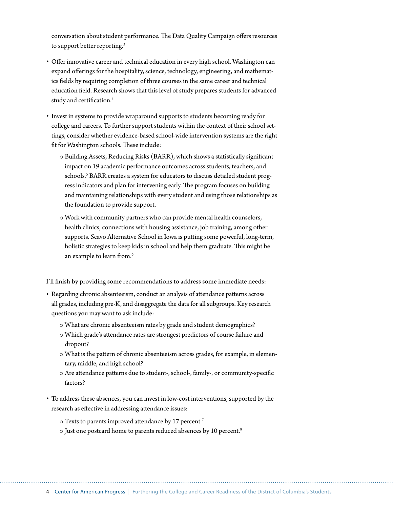conversation about student performance. The Data Quality Campaign offers resources to support better reporting.<sup>3</sup>

- Offer innovative career and technical education in every high school. Washington can expand offerings for the hospitality, science, technology, engineering, and mathematics fields by requiring completion of three courses in the same career and technical education field. Research shows that this level of study prepares students for advanced study and certification.<sup>4</sup>
- Invest in systems to provide wraparound supports to students becoming ready for college and careers. To further support students within the context of their school settings, consider whether evidence-based school-wide intervention systems are the right fit for Washington schools. These include:
	- $\circ$  Building Assets, Reducing Risks (BARR), which shows a statistically significant impact on 19 academic performance outcomes across students, teachers, and schools.<sup>5</sup> BARR creates a system for educators to discuss detailed student progress indicators and plan for intervening early. The program focuses on building and maintaining relationships with every student and using those relationships as the foundation to provide support.
	- $\circ$  Work with community partners who can provide mental health counselors, health clinics, connections with housing assistance, job training, among other supports. Scavo Alternative School in Iowa is putting some powerful, long-term, holistic strategies to keep kids in school and help them graduate. This might be an example to learn from.<sup>6</sup>

I'll finish by providing some recommendations to address some immediate needs:

- Regarding chronic absenteeism, conduct an analysis of attendance patterns across all grades, including pre-K, and disaggregate the data for all subgroups. Key research questions you may want to ask include:
	- $\circ$  What are chronic absenteeism rates by grade and student demographics?
	- { Which grade's attendance rates are strongest predictors of course failure and dropout?
	- $\circ$  What is the pattern of chronic absenteeism across grades, for example, in elementary, middle, and high school?
	- { Are attendance patterns due to student-, school-, family-, or community-specific factors?
- To address these absences, you can invest in low-cost interventions, supported by the research as effective in addressing attendance issues:
	- $\circ$  Texts to parents improved attendance by 17 percent.<sup>7</sup>
	- $\circ$  Just one postcard home to parents reduced absences by 10 percent.<sup>8</sup>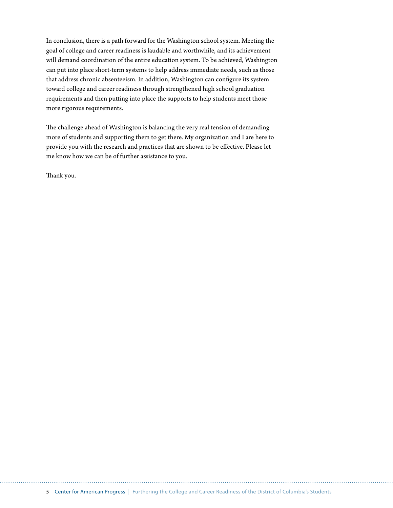In conclusion, there is a path forward for the Washington school system. Meeting the goal of college and career readiness is laudable and worthwhile, and its achievement will demand coordination of the entire education system. To be achieved, Washington can put into place short-term systems to help address immediate needs, such as those that address chronic absenteeism. In addition, Washington can configure its system toward college and career readiness through strengthened high school graduation requirements and then putting into place the supports to help students meet those more rigorous requirements.

The challenge ahead of Washington is balancing the very real tension of demanding more of students and supporting them to get there. My organization and I are here to provide you with the research and practices that are shown to be effective. Please let me know how we can be of further assistance to you.

Thank you.